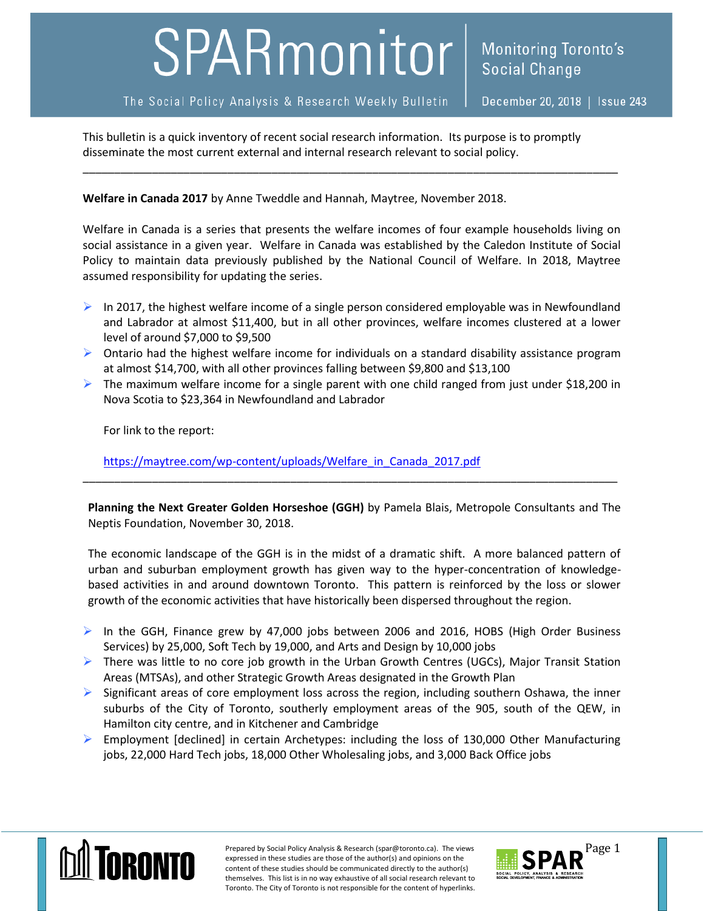## SPARmonitor

The Social Policy Analysis & Research Weekly Bulletin

December 20, 2018 | Issue 243

This bulletin is a quick inventory of recent social research information. Its purpose is to promptly disseminate the most current external and internal research relevant to social policy.

**Welfare in Canada 2017** by Anne Tweddle and Hannah, Maytree, November 2018.

Welfare in Canada is a series that presents the welfare incomes of four example households living on social assistance in a given year. Welfare in Canada was established by the Caledon Institute of Social Policy to maintain data previously published by the National Council of Welfare. In 2018, Maytree assumed responsibility for updating the series.

\_\_\_\_\_\_\_\_\_\_\_\_\_\_\_\_\_\_\_\_\_\_\_\_\_\_\_\_\_\_\_\_\_\_\_\_\_\_\_\_\_\_\_\_\_\_\_\_\_\_\_\_\_\_\_\_\_\_\_\_\_\_\_\_\_\_\_\_\_\_\_\_\_\_\_\_\_\_\_\_\_\_\_\_\_

- $\triangleright$  In 2017, the highest welfare income of a single person considered employable was in Newfoundland and Labrador at almost \$11,400, but in all other provinces, welfare incomes clustered at a lower level of around \$7,000 to \$9,500
- $\triangleright$  Ontario had the highest welfare income for individuals on a standard disability assistance program at almost \$14,700, with all other provinces falling between \$9,800 and \$13,100
- $\triangleright$  The maximum welfare income for a single parent with one child ranged from just under \$18,200 in Nova Scotia to \$23,364 in Newfoundland and Labrador

For link to the report:

[https://maytree.com/wp-content/uploads/Welfare\\_in\\_Canada\\_2017.pdf](https://maytree.com/wp-content/uploads/Welfare_in_Canada_2017.pdf)

**Planning the Next Greater Golden Horseshoe (GGH)** by Pamela Blais, Metropole Consultants and The Neptis Foundation, November 30, 2018.

\_\_\_\_\_\_\_\_\_\_\_\_\_\_\_\_\_\_\_\_\_\_\_\_\_\_\_\_\_\_\_\_\_\_\_\_\_\_\_\_\_\_\_\_\_\_\_\_\_\_\_\_\_\_\_\_\_\_\_\_\_\_\_\_\_\_\_\_\_\_\_\_\_\_\_\_\_\_\_\_\_\_\_\_\_

The economic landscape of the GGH is in the midst of a dramatic shift. A more balanced pattern of urban and suburban employment growth has given way to the hyper-concentration of knowledgebased activities in and around downtown Toronto. This pattern is reinforced by the loss or slower growth of the economic activities that have historically been dispersed throughout the region.

- In the GGH, Finance grew by 47,000 jobs between 2006 and 2016, HOBS (High Order Business Services) by 25,000, Soft Tech by 19,000, and Arts and Design by 10,000 jobs
- $\triangleright$  There was little to no core job growth in the Urban Growth Centres (UGCs), Major Transit Station Areas (MTSAs), and other Strategic Growth Areas designated in the Growth Plan
- $\triangleright$  Significant areas of core employment loss across the region, including southern Oshawa, the inner suburbs of the City of Toronto, southerly employment areas of the 905, south of the QEW, in Hamilton city centre, and in Kitchener and Cambridge
- $\triangleright$  Employment [declined] in certain Archetypes: including the loss of 130,000 Other Manufacturing jobs, 22,000 Hard Tech jobs, 18,000 Other Wholesaling jobs, and 3,000 Back Office jobs



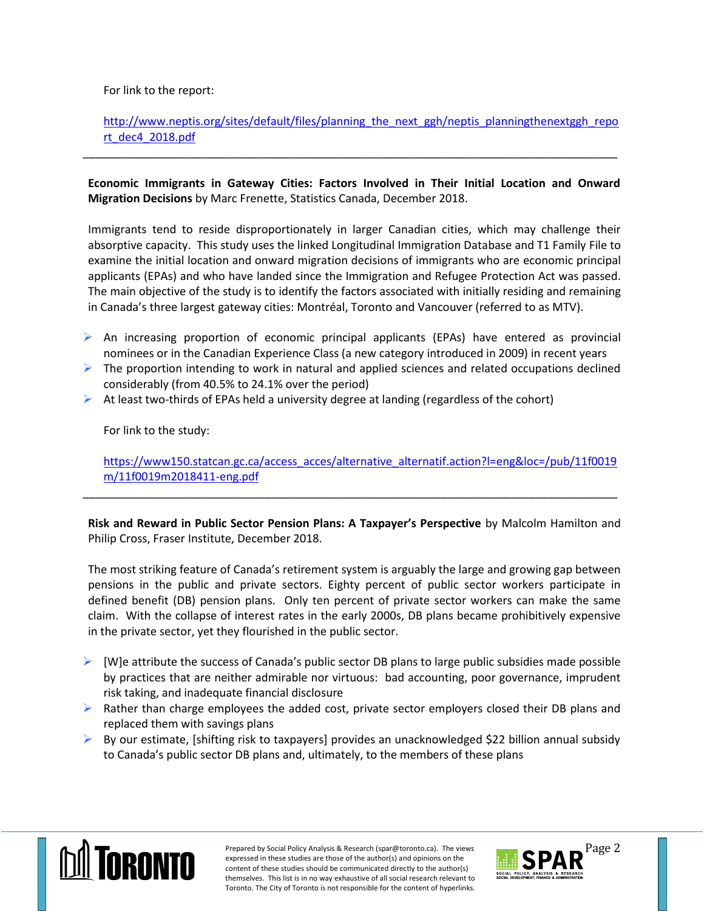For link to the report:

[http://www.neptis.org/sites/default/files/planning\\_the\\_next\\_ggh/neptis\\_planningthenextggh\\_repo](http://www.neptis.org/sites/default/files/planning_the_next_ggh/neptis_planningthenextggh_report_dec4_2018.pdf) [rt\\_dec4\\_2018.pdf](http://www.neptis.org/sites/default/files/planning_the_next_ggh/neptis_planningthenextggh_report_dec4_2018.pdf)

**Economic Immigrants in Gateway Cities: Factors Involved in Their Initial Location and Onward Migration Decisions** by Marc Frenette, Statistics Canada, December 2018.

\_\_\_\_\_\_\_\_\_\_\_\_\_\_\_\_\_\_\_\_\_\_\_\_\_\_\_\_\_\_\_\_\_\_\_\_\_\_\_\_\_\_\_\_\_\_\_\_\_\_\_\_\_\_\_\_\_\_\_\_\_\_\_\_\_\_\_\_\_\_\_\_\_\_\_\_\_\_\_\_\_\_\_\_\_

Immigrants tend to reside disproportionately in larger Canadian cities, which may challenge their absorptive capacity. This study uses the linked Longitudinal Immigration Database and T1 Family File to examine the initial location and onward migration decisions of immigrants who are economic principal applicants (EPAs) and who have landed since the Immigration and Refugee Protection Act was passed. The main objective of the study is to identify the factors associated with initially residing and remaining in Canada's three largest gateway cities: Montréal, Toronto and Vancouver (referred to as MTV).

- An increasing proportion of economic principal applicants (EPAs) have entered as provincial nominees or in the Canadian Experience Class (a new category introduced in 2009) in recent years
- $\triangleright$  The proportion intending to work in natural and applied sciences and related occupations declined considerably (from 40.5% to 24.1% over the period)
- $\triangleright$  At least two-thirds of EPAs held a university degree at landing (regardless of the cohort)

For link to the study:

[https://www150.statcan.gc.ca/access\\_acces/alternative\\_alternatif.action?l=eng&loc=/pub/11f0019](https://www150.statcan.gc.ca/access_acces/alternative_alternatif.action?l=eng&loc=/pub/11f0019m/11f0019m2018411-eng.pdf) [m/11f0019m2018411-eng.pdf](https://www150.statcan.gc.ca/access_acces/alternative_alternatif.action?l=eng&loc=/pub/11f0019m/11f0019m2018411-eng.pdf)

**Risk and Reward in Public Sector Pension Plans: A Taxpayer's Perspective** by Malcolm Hamilton and Philip Cross, Fraser Institute, December 2018.

\_\_\_\_\_\_\_\_\_\_\_\_\_\_\_\_\_\_\_\_\_\_\_\_\_\_\_\_\_\_\_\_\_\_\_\_\_\_\_\_\_\_\_\_\_\_\_\_\_\_\_\_\_\_\_\_\_\_\_\_\_\_\_\_\_\_\_\_\_\_\_\_\_\_\_\_\_\_\_\_\_\_\_\_\_

The most striking feature of Canada's retirement system is arguably the large and growing gap between pensions in the public and private sectors. Eighty percent of public sector workers participate in defined benefit (DB) pension plans. Only ten percent of private sector workers can make the same claim. With the collapse of interest rates in the early 2000s, DB plans became prohibitively expensive in the private sector, yet they flourished in the public sector.

- $\triangleright$  [W]e attribute the success of Canada's public sector DB plans to large public subsidies made possible by practices that are neither admirable nor virtuous: bad accounting, poor governance, imprudent risk taking, and inadequate financial disclosure
- $\triangleright$  Rather than charge employees the added cost, private sector employers closed their DB plans and replaced them with savings plans
- $\triangleright$  By our estimate, [shifting risk to taxpayers] provides an unacknowledged \$22 billion annual subsidy to Canada's public sector DB plans and, ultimately, to the members of these plans



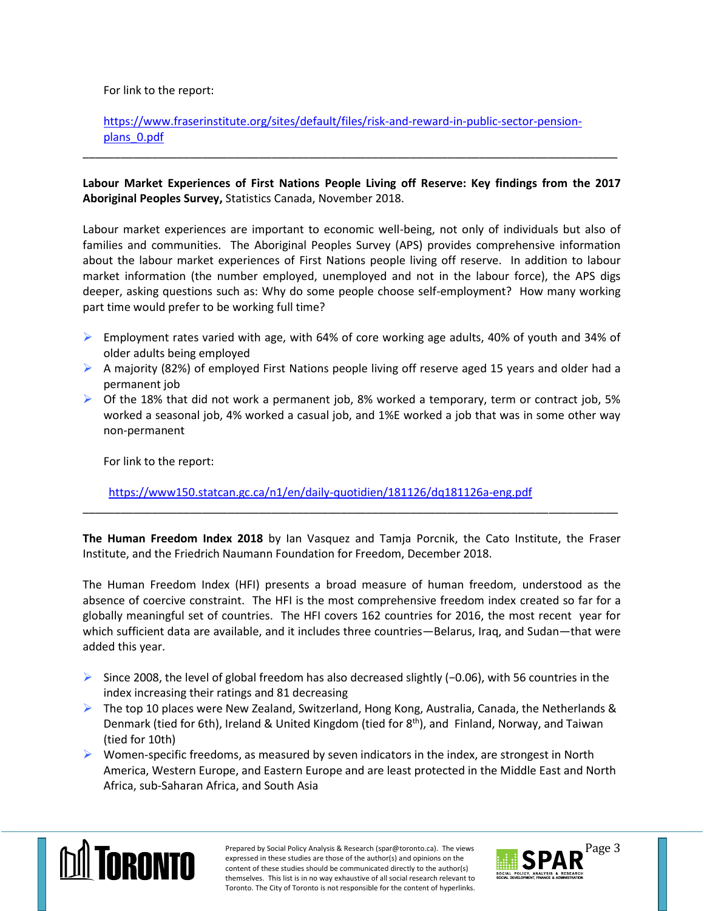For link to the report:

## [https://www.fraserinstitute.org/sites/default/files/risk-and-reward-in-public-sector-pension](https://www.fraserinstitute.org/sites/default/files/risk-and-reward-in-public-sector-pension-plans_0.pdf)[plans\\_0.pdf](https://www.fraserinstitute.org/sites/default/files/risk-and-reward-in-public-sector-pension-plans_0.pdf)

## **Labour Market Experiences of First Nations People Living off Reserve: Key findings from the 2017 Aboriginal Peoples Survey,** Statistics Canada, November 2018.

\_\_\_\_\_\_\_\_\_\_\_\_\_\_\_\_\_\_\_\_\_\_\_\_\_\_\_\_\_\_\_\_\_\_\_\_\_\_\_\_\_\_\_\_\_\_\_\_\_\_\_\_\_\_\_\_\_\_\_\_\_\_\_\_\_\_\_\_\_\_\_\_\_\_\_\_\_\_\_\_\_\_\_\_\_

Labour market experiences are important to economic well-being, not only of individuals but also of families and communities. The Aboriginal Peoples Survey (APS) provides comprehensive information about the labour market experiences of First Nations people living off reserve. In addition to labour market information (the number employed, unemployed and not in the labour force), the APS digs deeper, asking questions such as: Why do some people choose self-employment? How many working part time would prefer to be working full time?

- Employment rates varied with age, with 64% of core working age adults, 40% of youth and 34% of older adults being employed
- A majority (82%) of employed First Nations people living off reserve aged 15 years and older had a permanent job
- $\triangleright$  Of the 18% that did not work a permanent job, 8% worked a temporary, term or contract job, 5% worked a seasonal job, 4% worked a casual job, and 1%E worked a job that was in some other way non-permanent

For link to the report:

[https://www150.statcan.gc.ca/n1/en/daily-quotidien/181126/dq181126a-eng.pdf](https://www150.statcan.gc.ca/n1/en/daily-quotidien/181126/dq181126a-eng.pdf?st=hQoAr0Tq)

**The Human Freedom Index 2018** by Ian Vasquez and Tamja Porcnik, the Cato Institute, the Fraser Institute, and the Friedrich Naumann Foundation for Freedom, December 2018.

\_\_\_\_\_\_\_\_\_\_\_\_\_\_\_\_\_\_\_\_\_\_\_\_\_\_\_\_\_\_\_\_\_\_\_\_\_\_\_\_\_\_\_\_\_\_\_\_\_\_\_\_\_\_\_\_\_\_\_\_\_\_\_\_\_\_\_\_\_\_\_\_\_\_\_\_\_\_\_\_\_\_\_\_\_

The Human Freedom Index (HFI) presents a broad measure of human freedom, understood as the absence of coercive constraint. The HFI is the most comprehensive freedom index created so far for a globally meaningful set of countries. The HFI covers 162 countries for 2016, the most recent year for which sufficient data are available, and it includes three countries—Belarus, Iraq, and Sudan—that were added this year.

- Since 2008, the level of global freedom has also decreased slightly (−0.06), with 56 countries in the index increasing their ratings and 81 decreasing
- The top 10 places were New Zealand, Switzerland, Hong Kong, Australia, Canada, the Netherlands & Denmark (tied for 6th), Ireland & United Kingdom (tied for 8<sup>th</sup>), and Finland, Norway, and Taiwan (tied for 10th)
- $\triangleright$  Women-specific freedoms, as measured by seven indicators in the index, are strongest in North America, Western Europe, and Eastern Europe and are least protected in the Middle East and North Africa, sub-Saharan Africa, and South Asia